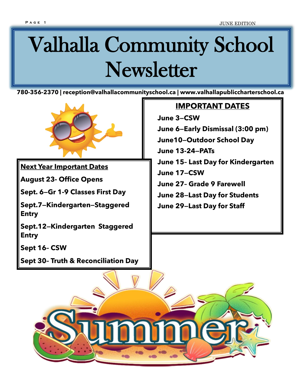# Valhalla Community School Newsletter

**780-356-2370 | reception@valhallacommunityschool.ca | www.valhallapubliccharterschool.ca**



**Next Year Important Dates** 

**August 23- Office Opens** 

**Sept. 6—Gr 1-9 Classes First Day** 

**Sept.7—Kindergarten—Staggered Entry** 

**Sept.12—Kindergarten Staggered Entry** 

**Sept 16– CSW**

**Sept 30– Truth & Reconciliation Day**

#### **IMPORTANT DATES**

**June 3—CSW June 6—Early Dismissal (3:00 pm) June10—Outdoor School Day June 13-24—PATs June 15– Last Day for Kindergarten June 17—CSW June 27– Grade 9 Farewell June 28—Last Day for Students June 29—Last Day for Staff**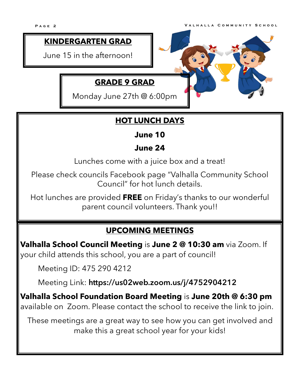#### **KINDERGARTEN GRAD**

June 15 in the afternoon!

#### **GRADE 9 GRAD**

Monday June 27th @ 6:00pm



#### **HOT LUNCH DAYS**

#### **June 10**

#### **June 24**

Lunches come with a juice box and a treat!

Please check councils Facebook page "Valhalla Community School Council" for hot lunch details.

Hot lunches are provided **FREE** on Friday's thanks to our wonderful parent council volunteers. Thank you!!

#### **UPCOMING MEETINGS**

**Valhalla School Council Meeting** is **June 2 @ 10:30 am** via Zoom. If your child attends this school, you are a part of council!

Meeting ID: 475 290 4212

Meeting Link: **https://us02web.zoom.us/j/4752904212**

**Valhalla School Foundation Board Meeting** is **June 20th @ 6:30 pm**  available on Zoom. Please contact the school to receive the link to join.

These meetings are a great way to see how you can get involved and make this a great school year for your kids!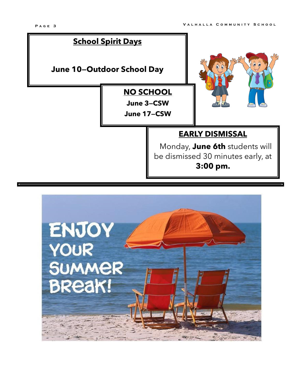# **EARLY DISMISSAL** Monday, **June 6th** students will be dismissed 30 minutes early, at **3:00 pm. School Spirit Days June 10—Outdoor School Day NO SCHOOL June 3—CSW June 17—CSW**